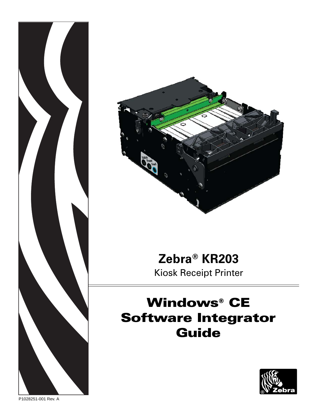



**Zebra® KR203** Kiosk Receipt Printer

## Windows® CE Software Integrator Guide



P1028251-001 Rev. A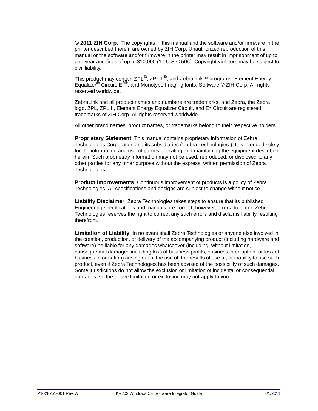**© 2011 ZIH Corp.** The copyrights in this manual and the software and/or firmware in the printer described therein are owned by ZIH Corp. Unauthorized reproduction of this manual or the software and/or firmware in the printer may result in imprisonment of up to one year and fines of up to \$10,000 (17 U.S.C.506). Copyright violators may be subject to civil liability.

This product may contain ZPL®, ZPL II<sup>®</sup>, and ZebraLink™ programs; Element Energy Equalizer® Circuit; E*3*®; and Monotype Imaging fonts. Software © ZIH Corp. All rights reserved worldwide.

ZebraLink and all product names and numbers are trademarks, and Zebra, the Zebra logo, ZPL, ZPL II, Element Energy Equalizer Circuit, and E*3* Circuit are registered trademarks of ZIH Corp. All rights reserved worldwide.

All other brand names, product names, or trademarks belong to their respective holders.

**Proprietary Statement** This manual contains proprietary information of Zebra Technologies Corporation and its subsidiaries ("Zebra Technologies"). It is intended solely for the information and use of parties operating and maintaining the equipment described herein. Such proprietary information may not be used, reproduced, or disclosed to any other parties for any other purpose without the express, written permission of Zebra Technologies.

**Product Improvements** Continuous improvement of products is a policy of Zebra Technologies. All specifications and designs are subject to change without notice.

**Liability Disclaimer** Zebra Technologies takes steps to ensure that its published Engineering specifications and manuals are correct; however, errors do occur. Zebra Technologies reserves the right to correct any such errors and disclaims liability resulting therefrom.

**Limitation of Liability** In no event shall Zebra Technologies or anyone else involved in the creation, production, or delivery of the accompanying product (including hardware and software) be liable for any damages whatsoever (including, without limitation, consequential damages including loss of business profits, business interruption, or loss of business information) arising out of the use of, the results of use of, or inability to use such product, even if Zebra Technologies has been advised of the possibility of such damages. Some jurisdictions do not allow the exclusion or limitation of incidental or consequential damages, so the above limitation or exclusion may not apply to you.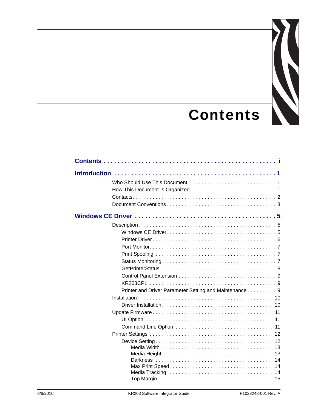# **Contents**

<span id="page-2-0"></span>

| Printer and Driver Parameter Setting and Maintenance 9 |
|--------------------------------------------------------|
|                                                        |
|                                                        |
|                                                        |
|                                                        |
|                                                        |
|                                                        |
|                                                        |
|                                                        |
|                                                        |
|                                                        |
|                                                        |
|                                                        |
|                                                        |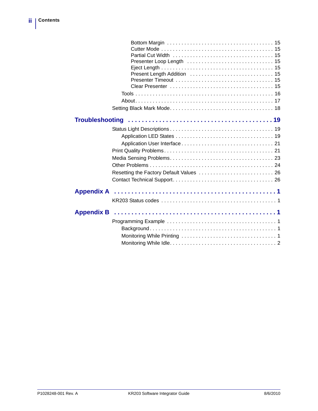| Resetting the Factory Default Values  26 |  |
|------------------------------------------|--|
|                                          |  |
|                                          |  |
|                                          |  |
|                                          |  |
|                                          |  |
|                                          |  |
|                                          |  |
|                                          |  |
|                                          |  |
|                                          |  |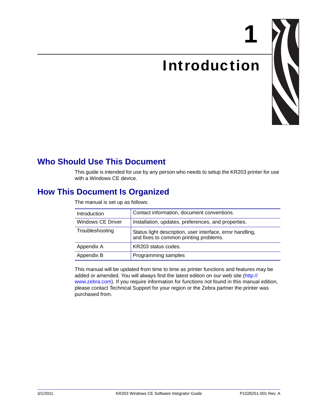# Introduction



1

## <span id="page-4-1"></span><span id="page-4-0"></span>**Who Should Use This Document**

This guide is intended for use by any person who needs to setup the KR203 printer for use with a Windows CE device.

## <span id="page-4-2"></span>**How This Document Is Organized**

| Introduction             | Contact information, document conventions.                                                          |
|--------------------------|-----------------------------------------------------------------------------------------------------|
| <b>Windows CE Driver</b> | Installation, updates, preferences, and properties.                                                 |
| Troubleshooting          | Status light description, user interface, error handling,<br>and fixes to common printing problems. |
| Appendix A               | KR203 status codes.                                                                                 |
| Appendix B               | Programming samples                                                                                 |

The manual is set up as follows:

This manual will be updated from time to time as printer functions and features may be added or amended. You will always find the latest edition on our web site [\(http://](http://www.zebra.com) [www.zebra.com](http://www.zebra.com)). If you require information for functions not found in this manual edition, please contact Technical Support for your region or the Zebra partner the printer was purchased from.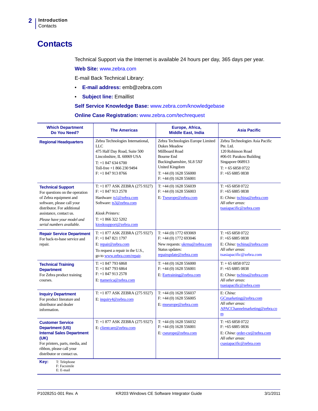## <span id="page-5-0"></span>**Contacts**

Technical Support via the Internet is available 24 hours per day, 365 days per year.

**Web Site:** [www.zebra.com](http://www.zebra.com)

E-mail Back Technical Library:

- **• E-mail address:** [emb@zebra.com](mailto:emb@zebra.com)
- **• Subject line:** Emaillist

**Self Service Knowledge Base:** [www.zebra.com/knowledgebase](http://www.zebra.com/knowledgebase)

|  | Online Case Registration: www.zebra.com/techrequest |  |  |  |
|--|-----------------------------------------------------|--|--|--|
|--|-----------------------------------------------------|--|--|--|

| <b>Which Department</b><br>Do You Need?                                                                                                                                                                                                 | <b>The Americas</b>                                                                                                                                                                | Europe, Africa,<br><b>Middle East, India</b>                                                                                                                                                 | <b>Asia Pacific</b>                                                                                                                                      |
|-----------------------------------------------------------------------------------------------------------------------------------------------------------------------------------------------------------------------------------------|------------------------------------------------------------------------------------------------------------------------------------------------------------------------------------|----------------------------------------------------------------------------------------------------------------------------------------------------------------------------------------------|----------------------------------------------------------------------------------------------------------------------------------------------------------|
| <b>Regional Headquarters</b>                                                                                                                                                                                                            | Zebra Technologies International,<br>LLC<br>475 Half Day Road, Suite 500<br>Lincolnshire, IL 60069 USA<br>$T: +18476346700$<br>Toll-free +1 866 230 9494<br>$F: +18479138766$      | Zebra Technologies Europe Limited<br>Dukes Meadow<br>Millboard Road<br><b>Bourne End</b><br>Buckinghamshire, SL8 5XF<br>United Kingdom<br>$T: +44(0)$ 1628 556000<br>$F: +44(0)$ 1628 556001 | Zebra Technologies Asia Pacific<br>Pte. Ltd.<br>120 Robinson Road<br>#06-01 Parakou Building<br>Singapore 068913<br>$T: +6568580722$<br>$F: +6568850838$ |
| <b>Technical Support</b><br>For questions on the operation<br>of Zebra equipment and<br>software, please call your<br>distributor. For additional<br>assistance, contact us.<br>Please have your model and<br>serial numbers available. | T: +1 877 ASK ZEBRA (275 9327)<br>$F: +18479132578$<br>Hardware: ts1@zebra.com<br>Software: ts3@zebra.com<br><b>Kiosk Printers:</b><br>$T: +18663225202$<br>kiosksupport@zebra.com | $T: +44(0)$ 1628 556039<br>$F: +44(0)$ 1628 556003<br>E: Tseurope@zebra.com                                                                                                                  | $T: +6568580722$<br>$F: +6568850838$<br>E: China: tschina@zebra.com<br>All other areas:<br>tsasiapacific@zebra.com                                       |
| <b>Repair Service Department</b><br>For back-to-base service and<br>repair.                                                                                                                                                             | T: +1 877 ASK ZEBRA (275 9327)<br>$F: +18478211797$<br>E: repair@zebra.com<br>To request a repair in the U.S.,<br>go to www.zebra.com/repair.                                      | $T: +44(0)$ 1772 693069<br>$F: +44(0)$ 1772 693046<br>New requests: ukrma@zebra.com<br>Status updates:<br>repairupdate@zebra.com                                                             | $T: +6568580722$<br>$F: +6568850838$<br>E: China: tschina@zebra.com<br>All other areas:<br>tsasiapacific@zebra.com                                       |
| <b>Technical Training</b><br><b>Department</b><br>For Zebra product training<br>courses.                                                                                                                                                | $T: +18477936868$<br>$T: +18477936864$<br>$F: +18479132578$<br>E: ttamerica@zebra.com                                                                                              | $T: +44(0)$ 1628 556000<br>$F: +44(0)$ 1628 556001<br>E: Eurtraining@zebra.com                                                                                                               | $T: +6568580722$<br>$F: +6568850838$<br>E: China: tschina@zebra.com<br>All other areas:<br>tsasiapacific@zebra.com                                       |
| <b>Inquiry Department</b><br>For product literature and<br>distributor and dealer<br>information.                                                                                                                                       | T: +1 877 ASK ZEBRA (275 9327)<br>E: inquiry4@zebra.com                                                                                                                            | $T: +44(0)$ 1628 556037<br>$F: +44(0)$ 1628 556005<br>E: mseurope@zebra.com                                                                                                                  | E: China:<br>GCmarketing@zebra.com<br>All other areas:<br>APACChannelmarketing@zebra.co<br>m                                                             |
| <b>Customer Service</b><br><b>Department (US)</b><br><b>Internal Sales Department</b><br>(UK)<br>For printers, parts, media, and<br>ribbon, please call your<br>distributor or contact us.<br>Key:<br>T: Telephone                      | T: +1 877 ASK ZEBRA (275 9327)<br>E: clientcare@zebra.com                                                                                                                          | $T: +44(0)$ 1628 556032<br>$F: +44(0)$ 1628 556001<br>E: cseurope@zebra.com                                                                                                                  | $T: +6568580722$<br>$F: +6568850836$<br>E: China: order-csr@zebra.com<br>All other areas:<br>csasiapacific@zebra.com                                     |
| F: Facsimile<br>E: E-mail                                                                                                                                                                                                               |                                                                                                                                                                                    |                                                                                                                                                                                              |                                                                                                                                                          |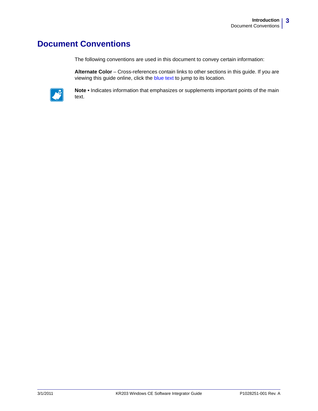## <span id="page-6-0"></span>**Document Conventions**

The following conventions are used in this document to convey certain information:

**Alternate Color** – Cross-references contain links to other sections in this guide. If you are viewing this guide online, click the blue text to jump to its location.



**Note •** Indicates information that emphasizes or supplements important points of the main text.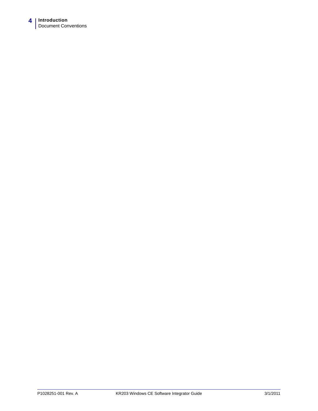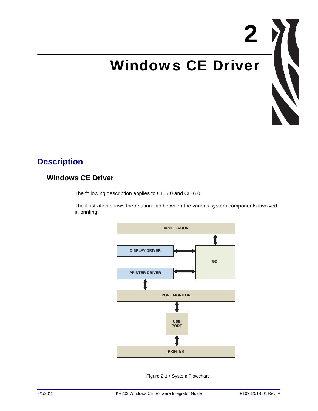# <span id="page-8-3"></span><span id="page-8-0"></span>Windows CE Driver



## <span id="page-8-1"></span>**Description**

## <span id="page-8-2"></span>**Windows CE Driver**

The following description applies to CE 5.0 and CE 6.0.

The illustration shows the relationship between the various system components involved in printing.



Figure 2-1 • System Flowchart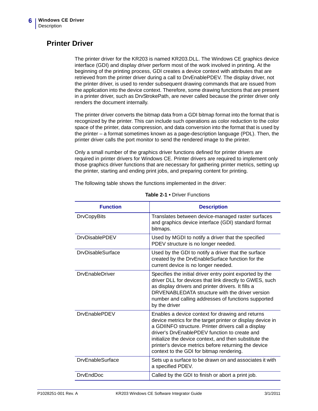## <span id="page-9-0"></span>**Printer Driver**

The printer driver for the KR203 is named KR203.DLL. The Windows CE graphics device interface (GDI) and display driver perform most of the work involved in printing. At the beginning of the printing process, GDI creates a device context with attributes that are retrieved from the printer driver during a call to DrvEnablePDEV. The display driver, not the printer driver, is used to render subsequent drawing commands that are issued from the application into the device context. Therefore, some drawing functions that are present in a printer driver, such as DrvStrokePath, are never called because the printer driver only renders the document internally.

The printer driver converts the bitmap data from a GDI bitmap format into the format that is recognized by the printer. This can include such operations as color reduction to the color space of the printer, data compression, and data conversion into the format that is used by the printer – a format sometimes known as a page-description language (PDL). Then, the printer driver calls the port monitor to send the rendered image to the printer.

Only a small number of the graphics driver functions defined for printer drivers are required in printer drivers for Windows CE. Printer drivers are required to implement only those graphics driver functions that are necessary for gathering printer metrics, setting up the printer, starting and ending print jobs, and preparing content for printing.

The following table shows the functions implemented in the driver:

| <b>Function</b>          | <b>Description</b>                                                                                                                                                                                                                                                                                                                                                                   |
|--------------------------|--------------------------------------------------------------------------------------------------------------------------------------------------------------------------------------------------------------------------------------------------------------------------------------------------------------------------------------------------------------------------------------|
| <b>DrvCopyBits</b>       | Translates between device-managed raster surfaces<br>and graphics device interface (GDI) standard format<br>bitmaps.                                                                                                                                                                                                                                                                 |
| <b>DrvDisablePDEV</b>    | Used by MGDI to notify a driver that the specified<br>PDEV structure is no longer needed.                                                                                                                                                                                                                                                                                            |
| <b>DrvDisableSurface</b> | Used by the GDI to notify a driver that the surface<br>created by the DrvEnableSurface function for the<br>current device is no longer needed.                                                                                                                                                                                                                                       |
| <b>DrvEnableDriver</b>   | Specifies the initial driver entry point exported by the<br>driver DLL for devices that link directly to GWES, such<br>as display drivers and printer drivers. It fills a<br>DRVENABLEDATA structure with the driver version<br>number and calling addresses of functions supported<br>by the driver                                                                                 |
| <b>DrvEnablePDEV</b>     | Enables a device context for drawing and returns<br>device metrics for the target printer or display device in<br>a GDIINFO structure. Printer drivers call a display<br>driver's DryEnablePDEV function to create and<br>initialize the device context, and then substitute the<br>printer's device metrics before returning the device<br>context to the GDI for bitmap rendering. |
| <b>DrvEnableSurface</b>  | Sets up a surface to be drawn on and associates it with<br>a specified PDEV.                                                                                                                                                                                                                                                                                                         |
| <b>DrvEndDoc</b>         | Called by the GDI to finish or abort a print job.                                                                                                                                                                                                                                                                                                                                    |

**Table 2-1 •** Driver Functions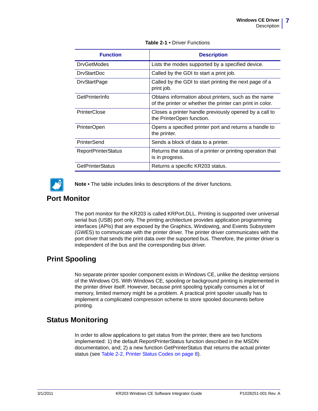| <b>Function</b>            | <b>Description</b>                                                                                                |
|----------------------------|-------------------------------------------------------------------------------------------------------------------|
| <b>DrvGetModes</b>         | Lists the modes supported by a specified device.                                                                  |
| <b>DrvStartDoc</b>         | Called by the GDI to start a print job.                                                                           |
| <b>DrvStartPage</b>        | Called by the GDI to start printing the next page of a<br>print job.                                              |
| GetPrinterInfo             | Obtains information about printers, such as the name<br>of the printer or whether the printer can print in color. |
| PrinterClose               | Closes a printer handle previously opened by a call to<br>the PrinterOpen function.                               |
| <b>PrinterOpen</b>         | Opens a specified printer port and returns a handle to<br>the printer.                                            |
| PrinterSend                | Sends a block of data to a printer.                                                                               |
| <b>ReportPrinterStatus</b> | Returns the status of a printer or printing operation that<br>is in progress.                                     |
| <b>GetPrinterStatus</b>    | Returns a specific KR203 status.                                                                                  |

**Table 2-1 •** Driver Functions



**Note •** The table includes links to descriptions of the driver functions.

## <span id="page-10-0"></span>**Port Monitor**

The port monitor for the KR203 is called KRPort.DLL. Printing is supported over universal serial bus (USB) port only. The printing architecture provides application programming interfaces (APIs) that are exposed by the Graphics, Windowing, and Events Subsystem (GWES) to communicate with the printer driver. The printer driver communicates with the port driver that sends the print data over the supported bus. Therefore, the printer driver is independent of the bus and the corresponding bus driver.

## <span id="page-10-1"></span>**Print Spooling**

No separate printer spooler component exists in Windows CE, unlike the desktop versions of the Windows OS. With Windows CE, spooling or background printing is implemented in the printer driver itself. However, because print spooling typically consumes a lot of memory, limited memory might be a problem. A practical print spooler usually has to implement a complicated compression scheme to store spooled documents before printing.

## <span id="page-10-2"></span>**Status Monitoring**

In order to allow applications to get status from the printer, there are two functions implemented: 1) the default ReportPrinterStatus function described in the MSDN documentation, and; 2) a new function GetPrinterStatus that returns the actual printer status (see [Table 2-2, Printer Status Codes on page 8\)](#page-11-1).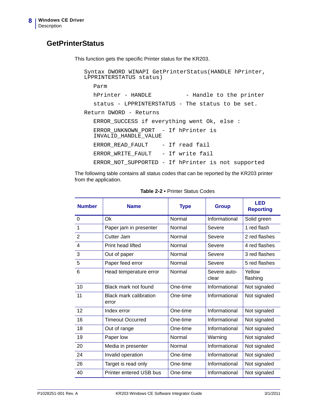## <span id="page-11-0"></span>**GetPrinterStatus**

This function gets the specific Printer status for the KR203.

```
Syntax DWORD WINAPI GetPrinterStatus(HANDLE hPrinter, 
LPPRINTERSTATUS status)
  Parm 
  hPrinter - HANDLE - Handle to the printer
  status - LPPRINTERSTATUS - The status to be set.
Return DWORD - Returns 
  ERROR_SUCCESS if everything went Ok, else :
  ERROR UNKNOWN PORT - If hPrinter is
  INVALID_HANDLE_VALUE
  ERROR_READ_FAULT - If read fail
  ERROR_WRITE_FAULT - If write fail 
  ERROR_NOT_SUPPORTED - If hPrinter is not supported
```
The following table contains all status codes that can be reported by the KR203 printer from the application.

<span id="page-11-1"></span>

| <b>Number</b>  | <b>Name</b>                            | <b>Type</b> | <b>Group</b>          | <b>LED</b><br><b>Reporting</b> |
|----------------|----------------------------------------|-------------|-----------------------|--------------------------------|
| 0              | <b>Ok</b>                              | Normal      | Informational         | Solid green                    |
| 1              | Paper jam in presenter                 | Normal      | Severe                | 1 red flash                    |
| $\overline{2}$ | Cutter Jam                             | Normal      | Severe                | 2 red flashes                  |
| $\overline{4}$ | Print head lifted                      | Normal      | Severe                | 4 red flashes                  |
| 3              | Out of paper                           | Normal      | Severe                | 3 red flashes                  |
| 5              | Paper feed error                       | Normal      | Severe                | 5 red flashes                  |
| 6              | Head temperature error                 | Normal      | Severe auto-<br>clear | Yellow<br>flashing             |
| 10             | Black mark not found                   | One-time    | Informational         | Not signaled                   |
| 11             | <b>Black mark calibration</b><br>error | One-time    | Informational         | Not signaled                   |
| 12             | Index error                            | One-time    | Informational         | Not signaled                   |
| 16             | <b>Timeout Occurred</b>                | One-time    | Informational         | Not signaled                   |
| 18             | Out of range                           | One-time    | Informational         | Not signaled                   |
| 19             | Paper low                              | Normal      | Warning               | Not signaled                   |
| 20             | Media in presenter                     | Normal      | Informational         | Not signaled                   |
| 24             | Invalid operation                      | One-time    | Informational         | Not signaled                   |
| 26             | Target is read only                    | One-time    | Informational         | Not signaled                   |
| 40             | Printer entered USB bus                | One-time    | Informational         | Not signaled                   |

**Table 2-2 •** Printer Status Codes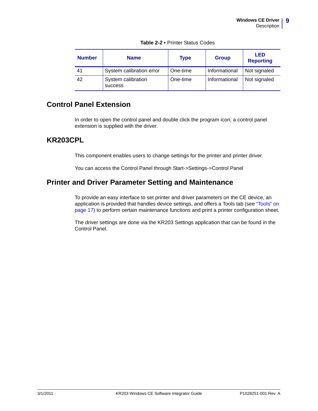| <b>Number</b> | <b>Name</b>                          | Type     | <b>Group</b>  | LED<br><b>Reporting</b> |
|---------------|--------------------------------------|----------|---------------|-------------------------|
| 41            | System calibration error             | One-time | Informational | Not signaled            |
| 42            | System calibration<br><b>SUCCESS</b> | One-time | Informational | Not signaled            |

**Table 2-2 •** Printer Status Codes

## <span id="page-12-0"></span>**Control Panel Extension**

In order to open the control panel and double click the program icon, a control panel extension is supplied with the driver.

## <span id="page-12-1"></span>**KR203CPL**

This component enables users to change settings for the printer and printer driver.

You can access the Control Panel through Start->Settings->Control Panel

## <span id="page-12-2"></span>**Printer and Driver Parameter Setting and Maintenance**

To provide an easy interface to set printer and driver parameters on the CE device, an application is provided that handles device settings, and offers a Tools tab ([see "Tools" on](#page-20-0)  [page 17](#page-20-0)) to perform certain maintenance functions and print a printer configuration sheet.

The driver settings are done via the KR203 Settings application that can be found in the Control Panel.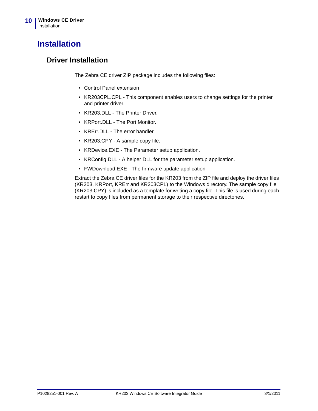## <span id="page-13-0"></span>**Installation**

## <span id="page-13-1"></span>**Driver Installation**

The Zebra CE driver ZIP package includes the following files:

- Control Panel extension
- KR203CPL.CPL This component enables users to change settings for the printer and printer driver.
- KR203.DLL The Printer Driver.
- KRPort.DLL The Port Monitor.
- KRErr.DLL The error handler.
- KR203.CPY A sample copy file.
- KRDevice.EXE The Parameter setup application.
- KRConfig.DLL A helper DLL for the parameter setup application.
- FWDownload.EXE The firmware update application

Extract the Zebra CE driver files for the KR203 from the ZIP file and deploy the driver files (KR203, KRPort, KRErr and KR203CPL) to the Windows directory. The sample copy file (KR203.CPY) is included as a template for writing a copy file. This file is used during each restart to copy files from permanent storage to their respective directories.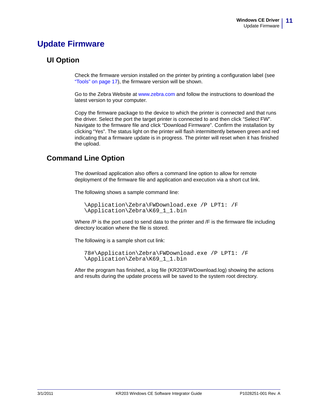## <span id="page-14-0"></span>**Update Firmware**

## <span id="page-14-1"></span>**UI Option**

Check the firmware version installed on the printer by printing a configuration label [\(see](#page-20-0)  ["Tools" on page 17\)](#page-20-0), the firmware version will be shown.

Go to the Zebra Website at [www.zebra.com](http://www.zebra.com) and follow the instructions to download the latest version to your computer.

Copy the firmware package to the device to which the printer is connected and that runs the driver. Select the port the target printer is connected to and then click "Select FW". Navigate to the firmware file and click "Download Firmware". Confirm the installation by clicking "Yes". The status light on the printer will flash intermittently between green and red indicating that a firmware update is in progress. The printer will reset when it has finished the upload.

## <span id="page-14-2"></span>**Command Line Option**

The download application also offers a command line option to allow for remote deployment of the firmware file and application and execution via a short cut link.

The following shows a sample command line:

```
\Application\Zebra\FWDownload.exe /P LPT1: /F 
\Application\Zebra\K69_1_1.bin
```
Where /P is the port used to send data to the printer and /F is the firmware file including directory location where the file is stored.

The following is a sample short cut link:

```
78#\Application\Zebra\FWDownload.exe /P LPT1: /F 
\Application\Zebra\K69_1_1.bin
```
After the program has finished, a log file (KR203FWDownload.log) showing the actions and results during the update process will be saved to the system root directory.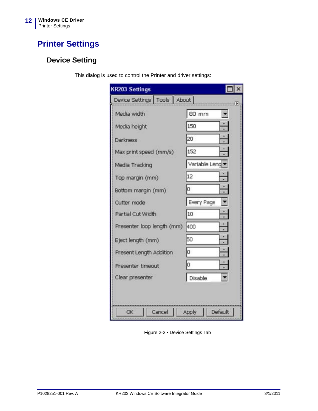## <span id="page-15-0"></span>**Printer Settings**

## <span id="page-15-2"></span><span id="page-15-1"></span>**Device Setting**

This dialog is used to control the Printer and driver settings:

| <b>KR203 Settings</b>           | $\times$         |
|---------------------------------|------------------|
| Device Settings   Tools   About | Ħ                |
| Media width                     | 80 mm            |
| Media height                    | 150              |
| Darkness                        | 20               |
| Max print speed (mm/s)          | 152              |
| Media Tracking                  | Variable Leng    |
| Top margin (mm)                 | 12               |
| Bottom margin (mm)              | Ю                |
| Cutter mode                     | Every Page       |
| Partial Cut Width               | 10               |
| Presenter loop length (mm)      | 400              |
| Eject length (mm)               | 50               |
| Present Length Addition         | Ю                |
| Presenter timeout               | о                |
| Clear presenter                 | Disable          |
|                                 |                  |
|                                 |                  |
| OK<br>Cancel                    | Default<br>Apply |

Figure 2-2 • Device Settings Tab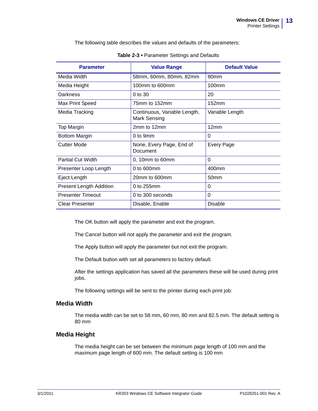The following table describes the values and defaults of the parameters:

| <b>Parameter</b>               | <b>Value Range</b>                                  | <b>Default Value</b> |
|--------------------------------|-----------------------------------------------------|----------------------|
| Media Width                    | 58mm, 60mm, 80mm, 82mm                              | 80 <sub>mm</sub>     |
| Media Height                   | 100mm to 600mm                                      | 100mm                |
| Darkness                       | $0$ to $30$                                         | 20                   |
| Max Print Speed                | 75mm to 152mm                                       | 152mm                |
| Media Tracking                 | Continuous, Variable Length,<br><b>Mark Sensing</b> | Variable Length      |
| <b>Top Margin</b>              | 2mm to 12mm                                         | 12mm                 |
| <b>Bottom Margin</b>           | 0 to 9mm                                            | 0                    |
| <b>Cutter Mode</b>             | None, Every Page, End of<br>Document                | <b>Every Page</b>    |
| <b>Partial Cut Width</b>       | 0, 10mm to 60mm                                     | $\Omega$             |
| Presenter Loop Length          | $0$ to 600 $mm$                                     | 400mm                |
| Eject Length                   | 20mm to 600mm                                       | 50 <sub>mm</sub>     |
| <b>Present Length Addition</b> | 0 to 255mm                                          | 0                    |
| <b>Presenter Timeout</b>       | 0 to 300 seconds                                    | 0                    |
| <b>Clear Presenter</b>         | Disable, Enable                                     | <b>Disable</b>       |

| Table 2-3 • Parameter Settings and Defaults |  |
|---------------------------------------------|--|
|---------------------------------------------|--|

The OK button will apply the parameter and exit the program.

The Cancel button will not apply the parameter and exit the program.

The Apply button will apply the parameter but not exit the program.

The Default button with set all parameters to factory default.

After the settings application has saved all the parameters these will be used during print jobs.

The following settings will be sent to the printer during each print job:

#### <span id="page-16-0"></span>**Media Width**

The media width can be set to 58 mm, 60 mm, 80 mm and 82.5 mm. The default setting is 80 mm

#### <span id="page-16-1"></span>**Media Height**

The media height can be set between the minimum page length of 100 mm and the maximum page length of 600 mm. The default setting is 100 mm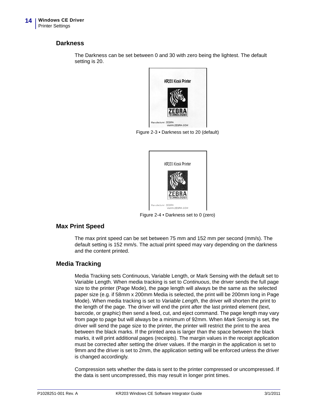#### <span id="page-17-0"></span>**Darkness**

The Darkness can be set between 0 and 30 with zero being the lightest. The default setting is 20.



Figure 2-3 • Darkness set to 20 (default)



Figure 2-4 • Darkness set to 0 (zero)

#### <span id="page-17-1"></span>**Max Print Speed**

The max print speed can be set between 75 mm and 152 mm per second (mm/s). The default setting is 152 mm/s. The actual print speed may vary depending on the darkness and the content printed.

#### <span id="page-17-2"></span>**Media Tracking**

Media Tracking sets Continuous, Variable Length, or Mark Sensing with the default set to Variable Length. When media tracking is set to *Continuous*, the driver sends the full page size to the printer (Page Mode), the page length will always be the same as the selected paper size (e.g. if 58mm x 200mm Media is selected, the print will be 200mm long in Page Mode). When media tracking is set to *Variable Length*, the driver will shorten the print to the length of the page. The driver will end the print after the last printed element (text, barcode, or graphic) then send a feed, cut, and eject command. The page length may vary from page to page but will always be a minimum of 92mm. When *Mark Sensing* is set, the driver will send the page size to the printer, the printer will restrict the print to the area between the black marks. If the printed area is larger than the space between the black marks, it will print additional pages (receipts). The margin values in the receipt application must be corrected after setting the driver values. If the margin in the application is set to 9mm and the driver is set to 2mm, the application setting will be enforced unless the driver is changed accordingly.

Compression sets whether the data is sent to the printer compressed or uncompressed. If the data is sent uncompressed, this may result in longer print times.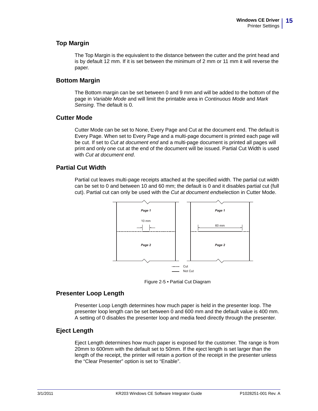#### <span id="page-18-0"></span>**Top Margin**

The Top Margin is the equivalent to the distance between the cutter and the print head and is by default 12 mm. If it is set between the minimum of 2 mm or 11 mm it will reverse the paper.

#### <span id="page-18-1"></span>**Bottom Margin**

The Bottom margin can be set between 0 and 9 mm and will be added to the bottom of the page in *Variable Mode* and will limit the printable area in *Continuous Mode* and *Mark Sensing*. The default is 0.

#### <span id="page-18-2"></span>**Cutter Mode**

Cutter Mode can be set to None, Every Page and Cut at the document end. The default is Every Page. When set to Every Page and a multi-page document is printed each page will be cut. If set to *Cut at document end* and a multi-page document is printed all pages will print and only one cut at the end of the document will be issued. Partial Cut Width is used with *Cut at document end*.

#### <span id="page-18-3"></span>**Partial Cut Width**

Partial cut leaves multi-page receipts attached at the specified width. The partial cut width can be set to 0 and between 10 and 60 mm; the default is 0 and it disables partial cut (full cut). Partial cut can only be used with the *Cut at document end*selection in Cutter Mode.



Figure 2-5 • Partial Cut Diagram

#### **Presenter Loop Length**

Presenter Loop Length determines how much paper is held in the presenter loop. The presenter loop length can be set between 0 and 600 mm and the default value is 400 mm. A setting of 0 disables the presenter loop and media feed directly through the presenter.

#### <span id="page-18-4"></span>**Eject Length**

Eject Length determines how much paper is exposed for the customer. The range is from 20mm to 600mm with the default set to 50mm. If the eject length is set larger than the length of the receipt, the printer will retain a portion of the receipt in the presenter unless the "Clear Presenter" option is set to "Enable".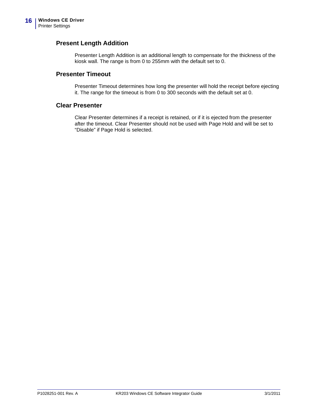#### <span id="page-19-0"></span>**Present Length Addition**

Presenter Length Addition is an additional length to compensate for the thickness of the kiosk wall. The range is from 0 to 255mm with the default set to 0.

#### <span id="page-19-1"></span>**Presenter Timeout**

Presenter Timeout determines how long the presenter will hold the receipt before ejecting it. The range for the timeout is from 0 to 300 seconds with the default set at 0.

#### <span id="page-19-2"></span>**Clear Presenter**

Clear Presenter determines if a receipt is retained, or if it is ejected from the presenter after the timeout. Clear Presenter should not be used with Page Hold and will be set to "Disable" if Page Hold is selected.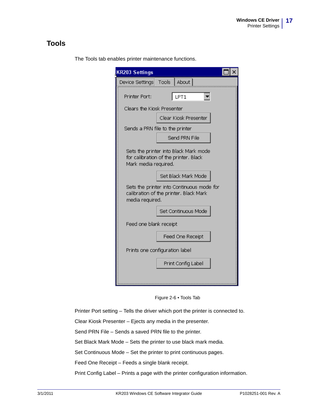## <span id="page-20-0"></span>**Tools**

| <b>KR203 Settings</b>                                                                                  |  |                     |  |  |
|--------------------------------------------------------------------------------------------------------|--|---------------------|--|--|
| Device Settings Tools                                                                                  |  | About               |  |  |
| <b>Printer Port:</b>                                                                                   |  | LPT1                |  |  |
| Clears the Kiosk Presenter                                                                             |  |                     |  |  |
| Clear Kiosk Presenter                                                                                  |  |                     |  |  |
| Sends a PRN file to the printer                                                                        |  |                     |  |  |
|                                                                                                        |  | Send PRN File       |  |  |
| Sets the printer into Black Mark mode<br>for calibration of the printer. Black<br>Mark media required. |  |                     |  |  |
|                                                                                                        |  | Set Black Mark Mode |  |  |
| Sets the printer into Continuous mode for<br>calibration of the printer. Black Mark<br>media required. |  |                     |  |  |
|                                                                                                        |  | Set Continuous Mode |  |  |
| Feed one blank receipt                                                                                 |  |                     |  |  |
|                                                                                                        |  | Feed One Receipt    |  |  |
| Prints one configuration label                                                                         |  |                     |  |  |
|                                                                                                        |  | Print Config Label  |  |  |
|                                                                                                        |  |                     |  |  |

The Tools tab enables printer maintenance functions.

Figure 2-6 • Tools Tab

Printer Port setting – Tells the driver which port the printer is connected to.

Clear Kiosk Presenter – Ejects any media in the presenter.

Send PRN File – Sends a saved PRN file to the printer.

Set Black Mark Mode – Sets the printer to use black mark media.

Set Continuous Mode – Set the printer to print continuous pages.

Feed One Receipt – Feeds a single blank receipt.

Print Config Label – Prints a page with the printer configuration information.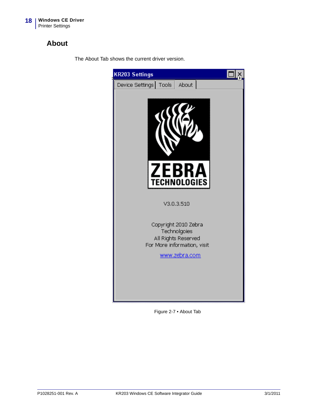## <span id="page-21-0"></span>**About**



The About Tab shows the current driver version.

Figure 2-7 • About Tab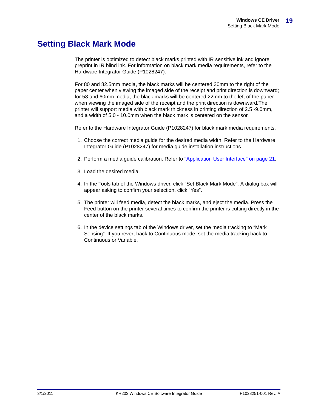## <span id="page-22-1"></span><span id="page-22-0"></span>**Setting Black Mark Mode**

The printer is optimized to detect black marks printed with IR sensitive ink and ignore preprint in IR blind ink. For information on black mark media requirements, refer to the Hardware Integrator Guide (P1028247).

For 80 and 82.5mm media, the black marks will be centered 30mm to the right of the paper center when viewing the imaged side of the receipt and print direction is downward; for 58 and 60mm media, the black marks will be centered 22mm to the left of the paper when viewing the imaged side of the receipt and the print direction is downward.The printer will support media with black mark thickness in printing direction of 2.5 -9.0mm, and a width of 5.0 - 10.0mm when the black mark is centered on the sensor.

Refer to the Hardware Integrator Guide (P1028247) for black mark media requirements.

- 1. Choose the correct media guide for the desired media width. Refer to the Hardware Integrator Guide (P1028247) for media guide installation instructions.
- 2. Perform a media guide calibration. Refer to ["Application User Interface" on page 21.](#page-26-2)
- 3. Load the desired media.
- 4. In the Tools tab of the Windows driver, click "Set Black Mark Mode". A dialog box will appear asking to confirm your selection, click "Yes".
- 5. The printer will feed media, detect the black marks, and eject the media. Press the Feed button on the printer several times to confirm the printer is cutting directly in the center of the black marks.
- 6. In the device settings tab of the Windows driver, set the media tracking to "Mark Sensing". If you revert back to Continuous mode, set the media tracking back to Continuous or Variable.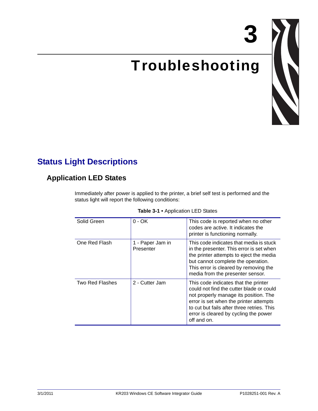# <span id="page-24-3"></span><span id="page-24-0"></span>Troubleshooting



## <span id="page-24-1"></span>**Status Light Descriptions**

## <span id="page-24-2"></span>**Application LED States**

Immediately after power is applied to the printer, a brief self test is performed and the status light will report the following conditions:

| Solid Green     | $0 - OK$                      | This code is reported when no other<br>codes are active. It indicates the<br>printer is functioning normally.                                                                                                                                                             |
|-----------------|-------------------------------|---------------------------------------------------------------------------------------------------------------------------------------------------------------------------------------------------------------------------------------------------------------------------|
| One Red Flash   | 1 - Paper Jam in<br>Presenter | This code indicates that media is stuck<br>in the presenter. This error is set when<br>the printer attempts to eject the media<br>but cannot complete the operation.<br>This error is cleared by removing the<br>media from the presenter sensor.                         |
| Two Red Flashes | 2 - Cutter Jam                | This code indicates that the printer<br>could not find the cutter blade or could<br>not properly manage its position. The<br>error is set when the printer attempts<br>to cut but fails after three retries. This<br>error is cleared by cycling the power<br>off and on. |

**Table 3-1 •** Application LED States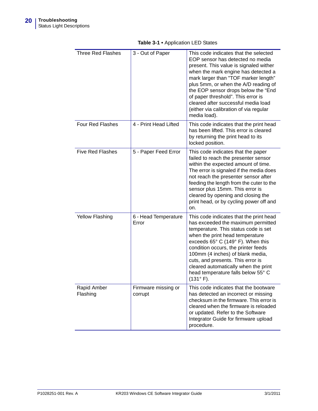| Three Red Flashes       | 3 - Out of Paper               | This code indicates that the selected<br>EOP sensor has detected no media<br>present. This value is signaled wither<br>when the mark engine has detected a<br>mark larger than "TOF marker length"<br>plus 5mm, or when the A/D reading of<br>the EOP sensor drops below the "End<br>of paper threshold". This error is<br>cleared after successful media load<br>(either via calibration of via regular<br>media load).    |
|-------------------------|--------------------------------|-----------------------------------------------------------------------------------------------------------------------------------------------------------------------------------------------------------------------------------------------------------------------------------------------------------------------------------------------------------------------------------------------------------------------------|
| Four Red Flashes        | 4 - Print Head Lifted          | This code indicates that the print head<br>has been lifted. This error is cleared<br>by returning the print head to its<br>locked position.                                                                                                                                                                                                                                                                                 |
| <b>Five Red Flashes</b> | 5 - Paper Feed Error           | This code indicates that the paper<br>failed to reach the presenter sensor<br>within the expected amount of time.<br>The error is signaled if the media does<br>not reach the presenter sensor after<br>feeding the length from the cuter to the<br>sensor plus 15mm. This error is<br>cleared by opening and closing the<br>print head, or by cycling power off and<br>on.                                                 |
| Yellow Flashing         | 6 - Head Temperature<br>Error  | This code indicates that the print head<br>has exceeded the maximum permitted<br>temperature. This status code is set<br>when the print head temperature<br>exceeds $65^{\circ}$ C (149 $^{\circ}$ F). When this<br>condition occurs, the printer feeds<br>100mm (4 inches) of blank media,<br>cuts, and presents. This error is<br>cleared automatically when the print<br>head temperature falls below 55° C<br>(131° F). |
| Rapid Amber<br>Flashing | Firmware missing or<br>corrupt | This code indicates that the bootware<br>has detected an incorrect or missing<br>checksum in the firmware. This error is<br>cleared when the firmware is reloaded<br>or updated. Refer to the Software<br>Integrator Guide for firmware upload<br>procedure.                                                                                                                                                                |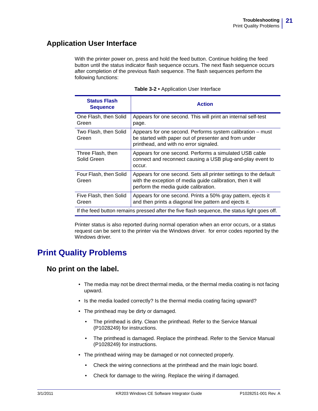## <span id="page-26-2"></span><span id="page-26-0"></span>**Application User Interface**

With the printer power on, press and hold the feed button. Continue holding the feed button until the status indicator flash sequence occurs. The next flash sequence occurs after completion of the previous flash sequence. The flash sequences perform the following functions:

| <b>Status Flash</b><br><b>Sequence</b>                                                       | <b>Action</b>                                                                                                                                                           |  |
|----------------------------------------------------------------------------------------------|-------------------------------------------------------------------------------------------------------------------------------------------------------------------------|--|
| One Flash, then Solid<br>Green                                                               | Appears for one second. This will print an internal self-test<br>page.                                                                                                  |  |
| Two Flash, then Solid<br>Green                                                               | Appears for one second. Performs system calibration – must<br>be started with paper out of presenter and from under<br>printhead, and with no error signaled.           |  |
| Three Flash, then<br>Solid Green                                                             | Appears for one second. Performs a simulated USB cable<br>connect and reconnect causing a USB plug-and-play event to<br>occur.                                          |  |
| Four Flash, then Solid<br>Green                                                              | Appears for one second. Sets all printer settings to the default<br>with the exception of media guide calibration, then it will<br>perform the media guide calibration. |  |
| Five Flash, then Solid<br>Green                                                              | Appears for one second. Prints a 50% gray pattern, ejects it<br>and then prints a diagonal line pattern and ejects it.                                                  |  |
| If the feed button remains pressed after the five flash sequence, the status light goes off. |                                                                                                                                                                         |  |

| Table 3-2 · Application User Interface |
|----------------------------------------|
|----------------------------------------|

Printer status is also reported during normal operation when an error occurs, or a status request can be sent to the printer via the Windows driver. for error codes reported by the Windows driver.

## <span id="page-26-1"></span>**Print Quality Problems**

## **No print on the label.**

- The media may not be direct thermal media, or the thermal media coating is not facing upward.
- Is the media loaded correctly? Is the thermal media coating facing upward?
- The printhead may be dirty or damaged.
	- The printhead is dirty. Clean the printhead. Refer to the Service Manual (P1028249) for instructions.
	- The printhead is damaged. Replace the printhead. Refer to the Service Manual (P1028249) for instructions.
- The printhead wiring may be damaged or not connected properly.
	- Check the wiring connections at the printhead and the main logic board.
	- Check for damage to the wiring. Replace the wiring if damaged.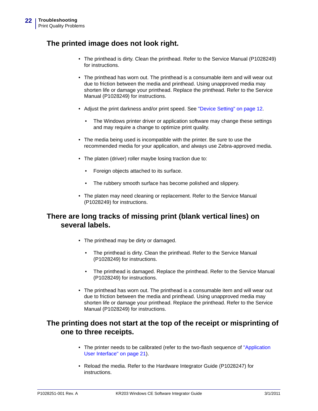## **The printed image does not look right.**

- The printhead is dirty. Clean the printhead. Refer to the Service Manual (P1028249) for instructions.
- The printhead has worn out. The printhead is a consumable item and will wear out due to friction between the media and printhead. Using unapproved media may shorten life or damage your printhead. Replace the printhead. Refer to the Service Manual (P1028249) for instructions.
- Adjust the print darkness and/or print speed. See ["Device Setting" on page 12.](#page-15-2)
	- The Windows printer driver or application software may change these settings and may require a change to optimize print quality.
- The media being used is incompatible with the printer. Be sure to use the recommended media for your application, and always use Zebra-approved media.
- The platen (driver) roller maybe losing traction due to:
	- Foreign objects attached to its surface.
	- The rubbery smooth surface has become polished and slippery.
- The platen may need cleaning or replacement. Refer to the Service Manual (P1028249) for instructions.

## **There are long tracks of missing print (blank vertical lines) on several labels.**

- The printhead may be dirty or damaged.
	- The printhead is dirty. Clean the printhead. Refer to the Service Manual (P1028249) for instructions.
	- The printhead is damaged. Replace the printhead. Refer to the Service Manual (P1028249) for instructions.
- The printhead has worn out. The printhead is a consumable item and will wear out due to friction between the media and printhead. Using unapproved media may shorten life or damage your printhead. Replace the printhead. Refer to the Service Manual (P1028249) for instructions.

## **The printing does not start at the top of the receipt or misprinting of one to three receipts.**

- The printer needs to be calibrated (refer to the two-flash sequence of "Application [User Interface" on page 21\)](#page-26-0).
- Reload the media. Refer to the Hardware Integrator Guide (P1028247) for instructions.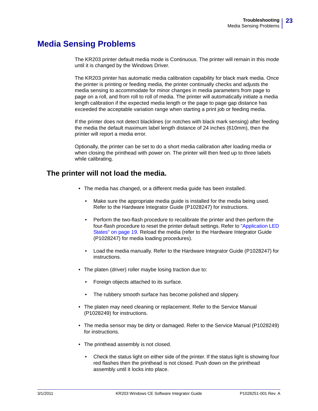## <span id="page-28-0"></span>**Media Sensing Problems**

The KR203 printer default media mode is Continuous. The printer will remain in this mode until it is changed by the Windows Driver.

The KR203 printer has automatic media calibration capability for black mark media. Once the printer is printing or feeding media, the printer continually checks and adjusts the media sensing to accommodate for minor changes in media parameters from page to page on a roll, and from roll to roll of media. The printer will automatically initiate a media length calibration if the expected media length or the page to page gap distance has exceeded the acceptable variation range when starting a print job or feeding media.

If the printer does not detect blacklines (or notches with black mark sensing) after feeding the media the default maximum label length distance of 24 inches (610mm), then the printer will report a media error.

Optionally, the printer can be set to do a short media calibration after loading media or when closing the printhead with power on. The printer will then feed up to three labels while calibrating.

## **The printer will not load the media.**

- The media has changed, or a different media guide has been installed.
	- Make sure the appropriate media guide is installed for the media being used. Refer to the Hardware Integrator Guide (P1028247) for instructions.
	- Perform the two-flash procedure to recalibrate the printer and then perform the four-flash procedure to reset the printer default settings. Refer to ["Application LED](#page-24-2)  [States" on page 19.](#page-24-2) Reload the media (refer to the Hardware Integrator Guide (P1028247) for media loading procedures).
	- Load the media manually. Refer to the Hardware Integrator Guide (P1028247) for instructions.
- The platen (driver) roller maybe losing traction due to:
	- Foreign objects attached to its surface.
	- The rubbery smooth surface has become polished and slippery.
- The platen may need cleaning or replacement. Refer to the Service Manual (P1028249) for instructions.
- The media sensor may be dirty or damaged. Refer to the Service Manual (P1028249) for instructions.
- The printhead assembly is not closed.
	- Check the status light on either side of the printer. If the status light is showing four red flashes then the printhead is not closed. Push down on the printhead assembly until it locks into place.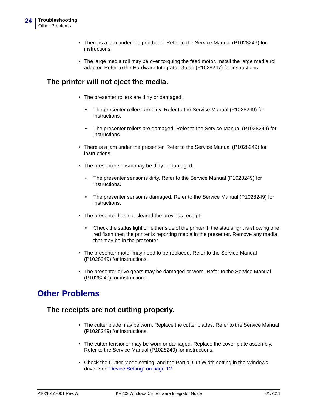- There is a jam under the printhead. Refer to the Service Manual (P1028249) for instructions.
- The large media roll may be over torquing the feed motor. Install the large media roll adapter. Refer to the Hardware Integrator Guide (P1028247) for instructions.

## **The printer will not eject the media.**

- The presenter rollers are dirty or damaged.
	- The presenter rollers are dirty. Refer to the Service Manual (P1028249) for instructions.
	- The presenter rollers are damaged. Refer to the Service Manual (P1028249) for instructions.
- There is a jam under the presenter. Refer to the Service Manual (P1028249) for instructions.
- The presenter sensor may be dirty or damaged.
	- The presenter sensor is dirty. Refer to the Service Manual (P1028249) for instructions.
	- The presenter sensor is damaged. Refer to the Service Manual (P1028249) for instructions.
- The presenter has not cleared the previous receipt.
	- Check the status light on either side of the printer. If the status light is showing one red flash then the printer is reporting media in the presenter. Remove any media that may be in the presenter.
- The presenter motor may need to be replaced. Refer to the Service Manual (P1028249) for instructions.
- The presenter drive gears may be damaged or worn. Refer to the Service Manual (P1028249) for instructions.

## <span id="page-29-0"></span>**Other Problems**

#### **The receipts are not cutting properly.**

- The cutter blade may be worn. Replace the cutter blades. Refer to the Service Manual (P1028249) for instructions.
- The cutter tensioner may be worn or damaged. Replace the cover plate assembly. Refer to the Service Manual (P1028249) for instructions.
- Check the Cutter Mode setting, and the Partial Cut Width setting in the Windows driver.See["Device Setting" on page 12](#page-15-2).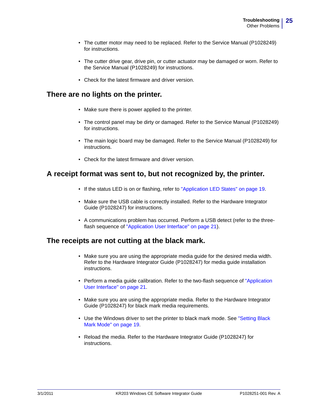- The cutter motor may need to be replaced. Refer to the Service Manual (P1028249) for instructions.
- The cutter drive gear, drive pin, or cutter actuator may be damaged or worn. Refer to the Service Manual (P1028249) for instructions.
- Check for the latest firmware and driver version.

#### **There are no lights on the printer.**

- Make sure there is power applied to the printer.
- The control panel may be dirty or damaged. Refer to the Service Manual (P1028249) for instructions.
- The main logic board may be damaged. Refer to the Service Manual (P1028249) for instructions.
- Check for the latest firmware and driver version.

## **A receipt format was sent to, but not recognized by, the printer.**

- If the status LED is on or flashing, refer to ["Application LED States" on page 19.](#page-24-2)
- Make sure the USB cable is correctly installed. Refer to the Hardware Integrator Guide (P1028247) for instructions.
- A communications problem has occurred. Perform a USB detect (refer to the threeflash sequence of ["Application User Interface" on page 21](#page-26-0)).

#### **The receipts are not cutting at the black mark.**

- Make sure you are using the appropriate media guide for the desired media width. Refer to the Hardware Integrator Guide (P1028247) for media guide installation instructions.
- Perform a media guide calibration. Refer to the two-flash sequence of ["Application](#page-26-0)  [User Interface" on page 21.](#page-26-0)
- Make sure you are using the appropriate media. Refer to the Hardware Integrator Guide (P1028247) for black mark media requirements.
- Use the Windows driver to set the printer to black mark mode. See ["Setting Black](#page-22-1)  [Mark Mode" on page 19](#page-22-1).
- Reload the media. Refer to the Hardware Integrator Guide (P1028247) for instructions.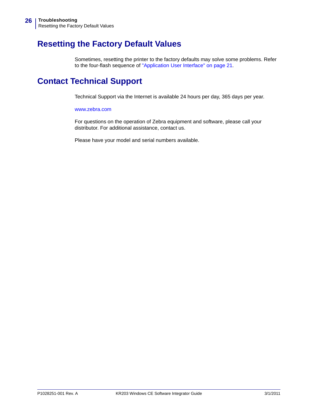## <span id="page-31-0"></span>**Resetting the Factory Default Values**

Sometimes, resetting the printer to the factory defaults may solve some problems. Refer to the four-flash sequence of ["Application User Interface" on page 21.](#page-26-0)

## <span id="page-31-1"></span>**Contact Technical Support**

Technical Support via the Internet is available 24 hours per day, 365 days per year.

#### [www.zebra.com](http://www.zebra.com)

For questions on the operation of Zebra equipment and software, please call your distributor. For additional assistance, contact us.

Please have your model and serial numbers available.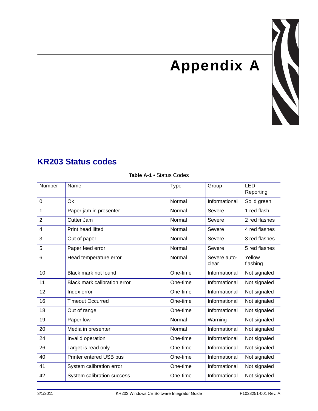

<span id="page-32-2"></span>Appendix A

## <span id="page-32-1"></span><span id="page-32-0"></span>**KR203 Status codes**

| Number         | Name                                | <b>Type</b> | Group                 | <b>LED</b><br>Reporting |
|----------------|-------------------------------------|-------------|-----------------------|-------------------------|
| $\mathbf 0$    | Ok                                  | Normal      | Informational         | Solid green             |
| 1              | Paper jam in presenter              | Normal      | Severe                | 1 red flash             |
| $\overline{2}$ | Cutter Jam                          | Normal      | Severe                | 2 red flashes           |
| $\overline{4}$ | Print head lifted                   | Normal      | Severe                | 4 red flashes           |
| 3              | Out of paper                        | Normal      | Severe                | 3 red flashes           |
| 5              | Paper feed error                    | Normal      | Severe                | 5 red flashes           |
| 6              | Head temperature error              | Normal      | Severe auto-<br>clear | Yellow<br>flashing      |
| 10             | Black mark not found                | One-time    | Informational         | Not signaled            |
| 11             | <b>Black mark calibration error</b> | One-time    | Informational         | Not signaled            |
| 12             | Index error                         | One-time    | Informational         | Not signaled            |
| 16             | <b>Timeout Occurred</b>             | One-time    | Informational         | Not signaled            |
| 18             | Out of range                        | One-time    | Informational         | Not signaled            |
| 19             | Paper low                           | Normal      | Warning               | Not signaled            |
| 20             | Media in presenter                  | Normal      | Informational         | Not signaled            |
| 24             | Invalid operation                   | One-time    | Informational         | Not signaled            |
| 26             | Target is read only                 | One-time    | Informational         | Not signaled            |
| 40             | Printer entered USB bus             | One-time    | Informational         | Not signaled            |
| 41             | System calibration error            | One-time    | Informational         | Not signaled            |
| 42             | System calibration success          | One-time    | Informational         | Not signaled            |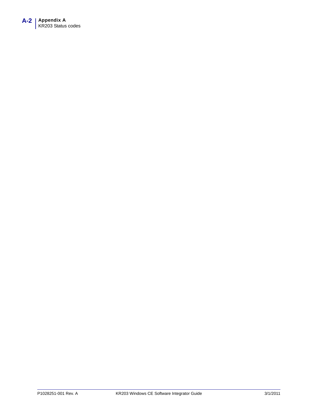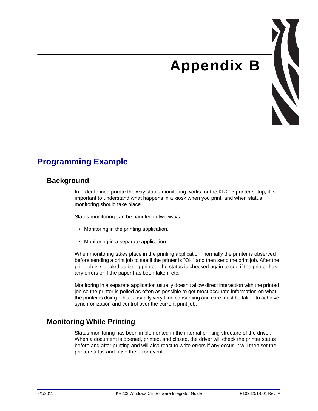

# <span id="page-34-4"></span>Appendix B

## <span id="page-34-1"></span><span id="page-34-0"></span>**Programming Example**

## <span id="page-34-2"></span>**Background**

In order to incorporate the way status monitoring works for the KR203 printer setup, it is important to understand what happens in a kiosk when you print, and when status monitoring should take place.

Status monitoring can be handled in two ways:

- Monitoring in the printing application.
- Monitoring in a separate application.

When monitoring takes place in the printing application, normally the printer is observed before sending a print job to see if the printer is "OK" and then send the print job. After the print job is signaled as being printed, the status is checked again to see if the printer has any errors or if the paper has been taken, etc.

Monitoring in a separate application usually doesn't allow direct interaction with the printed job so the printer is polled as often as possible to get most accurate information on what the printer is doing. This is usually very time consuming and care must be taken to achieve synchronization and control over the current print job.

## <span id="page-34-3"></span>**Monitoring While Printing**

Status monitoring has been implemented in the internal printing structure of the driver. When a document is opened, printed, and closed, the driver will check the printer status before and after printing and will also react to write errors if any occur. It will then set the printer status and raise the error event.